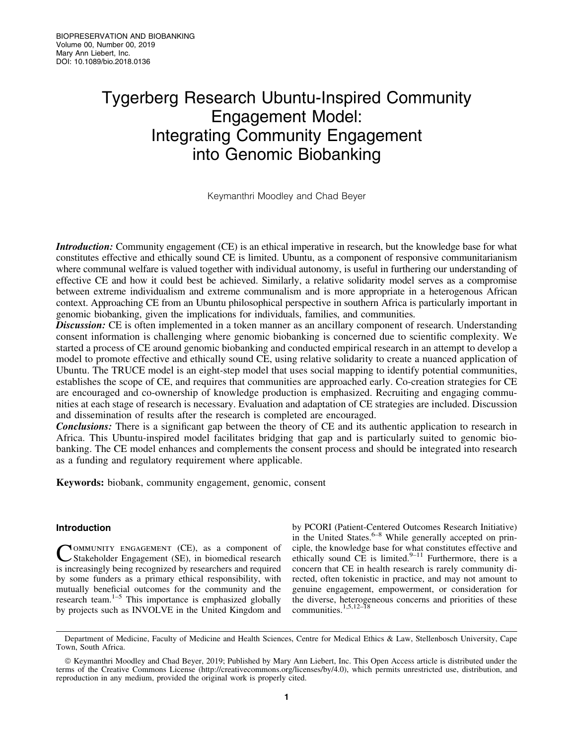# Tygerberg Research Ubuntu-Inspired Community Engagement Model: Integrating Community Engagement into Genomic Biobanking

Keymanthri Moodley and Chad Beyer

Introduction: Community engagement (CE) is an ethical imperative in research, but the knowledge base for what constitutes effective and ethically sound CE is limited. Ubuntu, as a component of responsive communitarianism where communal welfare is valued together with individual autonomy, is useful in furthering our understanding of effective CE and how it could best be achieved. Similarly, a relative solidarity model serves as a compromise between extreme individualism and extreme communalism and is more appropriate in a heterogenous African context. Approaching CE from an Ubuntu philosophical perspective in southern Africa is particularly important in genomic biobanking, given the implications for individuals, families, and communities.

**Discussion:** CE is often implemented in a token manner as an ancillary component of research. Understanding consent information is challenging where genomic biobanking is concerned due to scientific complexity. We started a process of CE around genomic biobanking and conducted empirical research in an attempt to develop a model to promote effective and ethically sound CE, using relative solidarity to create a nuanced application of Ubuntu. The TRUCE model is an eight-step model that uses social mapping to identify potential communities, establishes the scope of CE, and requires that communities are approached early. Co-creation strategies for CE are encouraged and co-ownership of knowledge production is emphasized. Recruiting and engaging communities at each stage of research is necessary. Evaluation and adaptation of CE strategies are included. Discussion and dissemination of results after the research is completed are encouraged.

Conclusions: There is a significant gap between the theory of CE and its authentic application to research in Africa. This Ubuntu-inspired model facilitates bridging that gap and is particularly suited to genomic biobanking. The CE model enhances and complements the consent process and should be integrated into research as a funding and regulatory requirement where applicable.

Keywords: biobank, community engagement, genomic, consent

## Introduction

COMMUNITY ENGAGEMENT (CE), as a component of Stakeholder Engagement (SE), in biomedical research is increasingly being recognized by researchers and required by some funders as a primary ethical responsibility, with mutually beneficial outcomes for the community and the research team. $1-5$  This importance is emphasized globally by projects such as INVOLVE in the United Kingdom and by PCORI (Patient-Centered Outcomes Research Initiative) in the United States. $6-8$  While generally accepted on principle, the knowledge base for what constitutes effective and ethically sound  $\overline{CE}$  is limited.<sup>9-11</sup> Furthermore, there is a concern that CE in health research is rarely community directed, often tokenistic in practice, and may not amount to genuine engagement, empowerment, or consideration for the diverse, heterogeneous concerns and priorities of these communities.1,5,12–18

Department of Medicine, Faculty of Medicine and Health Sciences, Centre for Medical Ethics & Law, Stellenbosch University, Cape Town, South Africa.

ª Keymanthri Moodley and Chad Beyer, 2019; Published by Mary Ann Liebert, Inc. This Open Access article is distributed under the terms of the Creative Commons License [\(http://creativecommons.org/licenses/by/4.0\)](http://creativecommons.org/licenses/by/4.0), which permits unrestricted use, distribution, and reproduction in any medium, provided the original work is properly cited.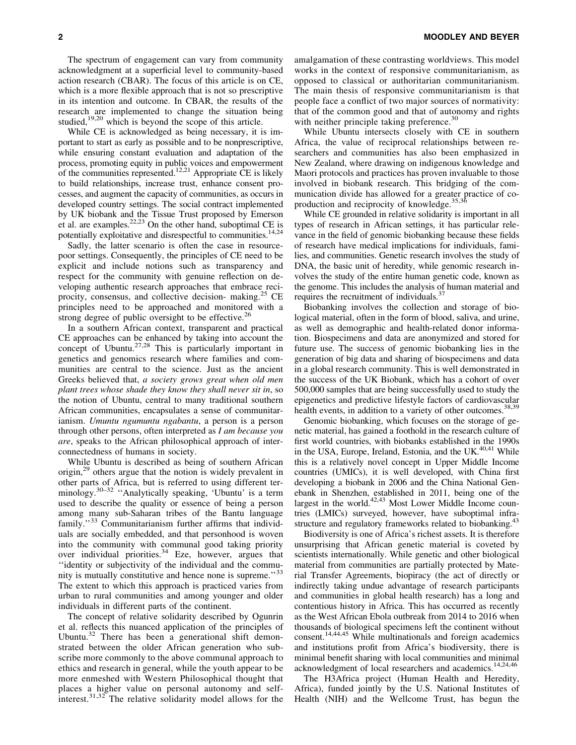The spectrum of engagement can vary from community acknowledgment at a superficial level to community-based action research (CBAR). The focus of this article is on CE, which is a more flexible approach that is not so prescriptive in its intention and outcome. In CBAR, the results of the research are implemented to change the situation being studied,<sup>19,20</sup> which is beyond the scope of this article.

While CE is acknowledged as being necessary, it is important to start as early as possible and to be nonprescriptive, while ensuring constant evaluation and adaptation of the process, promoting equity in public voices and empowerment of the communities represented.<sup>12,21</sup> Appropriate CE is likely to build relationships, increase trust, enhance consent processes, and augment the capacity of communities, as occurs in developed country settings. The social contract implemented by UK biobank and the Tissue Trust proposed by Emerson et al. are examples. $^{22,23}$  On the other hand, suboptimal CE is potentially exploitative and disrespectful to communities.<sup>14,24</sup>

Sadly, the latter scenario is often the case in resourcepoor settings. Consequently, the principles of CE need to be explicit and include notions such as transparency and respect for the community with genuine reflection on developing authentic research approaches that embrace reciprocity, consensus, and collective decision- making.<sup>25</sup> CE principles need to be approached and monitored with a strong degree of public oversight to be effective.<sup>26</sup>

In a southern African context, transparent and practical CE approaches can be enhanced by taking into account the concept of Ubuntu.<sup>27,28</sup> This is particularly important in genetics and genomics research where families and communities are central to the science. Just as the ancient Greeks believed that, *a society grows great when old men plant trees whose shade they know they shall never sit in*, so the notion of Ubuntu, central to many traditional southern African communities, encapsulates a sense of communitarianism. *Umuntu ngumuntu ngabantu*, a person is a person through other persons, often interpreted as *I am because you are*, speaks to the African philosophical approach of interconnectedness of humans in society.

While Ubuntu is described as being of southern African origin,<sup>29</sup> others argue that the notion is widely prevalent in other parts of Africa, but is referred to using different terminology.<sup>30–32</sup> "Analytically speaking, 'Ubuntu' is a term used to describe the quality or essence of being a person among many sub-Saharan tribes of the Bantu language family."<sup>33</sup> Communitarianism further affirms that individuals are socially embedded, and that personhood is woven into the community with communal good taking priority over individual priorities. $34$  Eze, however, argues that ''identity or subjectivity of the individual and the community is mutually constitutive and hence none is supreme.''<sup>33</sup> The extent to which this approach is practiced varies from urban to rural communities and among younger and older individuals in different parts of the continent.

The concept of relative solidarity described by Ogunrin et al. reflects this nuanced application of the principles of Ubuntu. $32$  There has been a generational shift demonstrated between the older African generation who subscribe more commonly to the above communal approach to ethics and research in general, while the youth appear to be more enmeshed with Western Philosophical thought that places a higher value on personal autonomy and selfinterest.31,32 The relative solidarity model allows for the amalgamation of these contrasting worldviews. This model works in the context of responsive communitarianism, as opposed to classical or authoritarian communitarianism. The main thesis of responsive communitarianism is that people face a conflict of two major sources of normativity: that of the common good and that of autonomy and rights with neither principle taking preference.<sup>30</sup>

While Ubuntu intersects closely with CE in southern Africa, the value of reciprocal relationships between researchers and communities has also been emphasized in New Zealand, where drawing on indigenous knowledge and Maori protocols and practices has proven invaluable to those involved in biobank research. This bridging of the communication divide has allowed for a greater practice of coproduction and reciprocity of knowledge.<sup>35,36</sup>

While CE grounded in relative solidarity is important in all types of research in African settings, it has particular relevance in the field of genomic biobanking because these fields of research have medical implications for individuals, families, and communities. Genetic research involves the study of DNA, the basic unit of heredity, while genomic research involves the study of the entire human genetic code, known as the genome. This includes the analysis of human material and requires the recruitment of individuals.<sup>3</sup>

Biobanking involves the collection and storage of biological material, often in the form of blood, saliva, and urine, as well as demographic and health-related donor information. Biospecimens and data are anonymized and stored for future use. The success of genomic biobanking lies in the generation of big data and sharing of biospecimens and data in a global research community. This is well demonstrated in the success of the UK Biobank, which has a cohort of over 500,000 samples that are being successfully used to study the epigenetics and predictive lifestyle factors of cardiovascular health events, in addition to a variety of other outcomes.<sup>38,39</sup>

Genomic biobanking, which focuses on the storage of genetic material, has gained a foothold in the research culture of first world countries, with biobanks established in the 1990s in the USA, Europe, Ireland, Estonia, and the UK. $40,41$  While this is a relatively novel concept in Upper Middle Income countries (UMICs), it is well developed, with China first developing a biobank in 2006 and the China National Genebank in Shenzhen, established in 2011, being one of the largest in the world. $42,43$  Most Lower Middle Income countries (LMICs) surveyed, however, have suboptimal infrastructure and regulatory frameworks related to biobanking.<sup>43</sup>

Biodiversity is one of Africa's richest assets. It is therefore unsurprising that African genetic material is coveted by scientists internationally. While genetic and other biological material from communities are partially protected by Material Transfer Agreements, biopiracy (the act of directly or indirectly taking undue advantage of research participants and communities in global health research) has a long and contentious history in Africa. This has occurred as recently as the West African Ebola outbreak from 2014 to 2016 when thousands of biological specimens left the continent without consent.14,44,45 While multinationals and foreign academics and institutions profit from Africa's biodiversity, there is minimal benefit sharing with local communities and minimal acknowledgment of local researchers and academics.14,24,46

The H3Africa project (Human Health and Heredity, Africa), funded jointly by the U.S. National Institutes of Health (NIH) and the Wellcome Trust, has begun the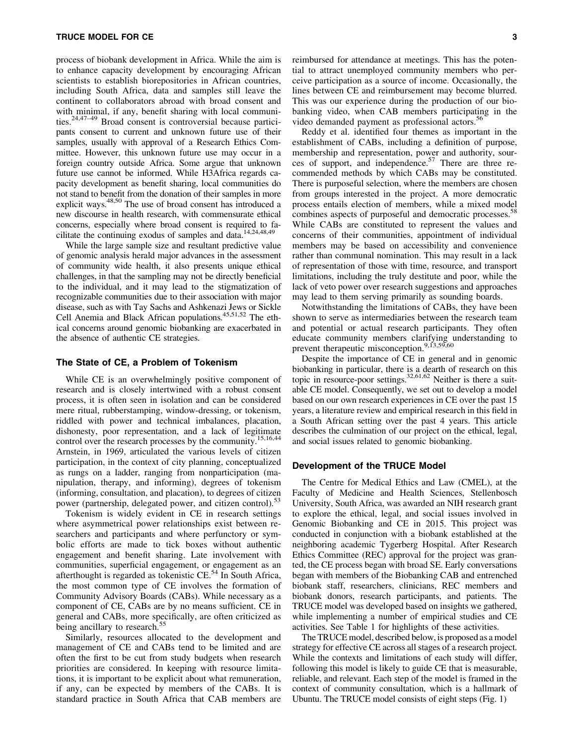process of biobank development in Africa. While the aim is to enhance capacity development by encouraging African scientists to establish biorepositories in African countries, including South Africa, data and samples still leave the continent to collaborators abroad with broad consent and with minimal, if any, benefit sharing with local communities.24,47–49 Broad consent is controversial because participants consent to current and unknown future use of their samples, usually with approval of a Research Ethics Committee. However, this unknown future use may occur in a foreign country outside Africa. Some argue that unknown future use cannot be informed. While H3Africa regards capacity development as benefit sharing, local communities do not stand to benefit from the donation of their samples in more explicit ways.<sup>48,50</sup> The use of broad consent has introduced a new discourse in health research, with commensurate ethical concerns, especially where broad consent is required to facilitate the continuing exodus of samples and data.14,24,48,49

While the large sample size and resultant predictive value of genomic analysis herald major advances in the assessment of community wide health, it also presents unique ethical challenges, in that the sampling may not be directly beneficial to the individual, and it may lead to the stigmatization of recognizable communities due to their association with major disease, such as with Tay Sachs and Ashkenazi Jews or Sickle Cell Anemia and Black African populations.<sup>45,51,52</sup> The ethical concerns around genomic biobanking are exacerbated in the absence of authentic CE strategies.

## The State of CE, a Problem of Tokenism

While CE is an overwhelmingly positive component of research and is closely intertwined with a robust consent process, it is often seen in isolation and can be considered mere ritual, rubberstamping, window-dressing, or tokenism, riddled with power and technical imbalances, placation, dishonesty, poor representation, and a lack of legitimate control over the research processes by the community.<sup>15,16,44</sup> Arnstein, in 1969, articulated the various levels of citizen participation, in the context of city planning, conceptualized as rungs on a ladder, ranging from nonparticipation (manipulation, therapy, and informing), degrees of tokenism (informing, consultation, and placation), to degrees of citizen power (partnership, delegated power, and citizen control).<sup>53</sup>

Tokenism is widely evident in CE in research settings where asymmetrical power relationships exist between researchers and participants and where perfunctory or symbolic efforts are made to tick boxes without authentic engagement and benefit sharing. Late involvement with communities, superficial engagement, or engagement as an afterthought is regarded as tokenistic CE.<sup>54</sup> In South Africa, the most common type of CE involves the formation of Community Advisory Boards (CABs). While necessary as a component of CE, CABs are by no means sufficient. CE in general and CABs, more specifically, are often criticized as being ancillary to research.<sup>55</sup>

Similarly, resources allocated to the development and management of CE and CABs tend to be limited and are often the first to be cut from study budgets when research priorities are considered. In keeping with resource limitations, it is important to be explicit about what remuneration, if any, can be expected by members of the CABs. It is standard practice in South Africa that CAB members are

reimbursed for attendance at meetings. This has the potential to attract unemployed community members who perceive participation as a source of income. Occasionally, the lines between CE and reimbursement may become blurred. This was our experience during the production of our biobanking video, when CAB members participating in the video demanded payment as professional actors.<sup>56</sup>

Reddy et al. identified four themes as important in the establishment of CABs, including a definition of purpose, membership and representation, power and authority, sources of support, and independence.57 There are three recommended methods by which CABs may be constituted. There is purposeful selection, where the members are chosen from groups interested in the project. A more democratic process entails election of members, while a mixed model combines aspects of purposeful and democratic processes.<sup>58</sup> While CABs are constituted to represent the values and concerns of their communities, appointment of individual members may be based on accessibility and convenience rather than communal nomination. This may result in a lack of representation of those with time, resource, and transport limitations, including the truly destitute and poor, while the lack of veto power over research suggestions and approaches may lead to them serving primarily as sounding boards.

Notwithstanding the limitations of CABs, they have been shown to serve as intermediaries between the research team and potential or actual research participants. They often educate community members clarifying understanding to prevent therapeutic misconception.<sup>9,13,59,60</sup>

Despite the importance of CE in general and in genomic biobanking in particular, there is a dearth of research on this topic in resource-poor settings.<sup>32,61,62</sup> Neither is there a suitable CE model. Consequently, we set out to develop a model based on our own research experiences in CE over the past 15 years, a literature review and empirical research in this field in a South African setting over the past 4 years. This article describes the culmination of our project on the ethical, legal, and social issues related to genomic biobanking.

### Development of the TRUCE Model

The Centre for Medical Ethics and Law (CMEL), at the Faculty of Medicine and Health Sciences, Stellenbosch University, South Africa, was awarded an NIH research grant to explore the ethical, legal, and social issues involved in Genomic Biobanking and CE in 2015. This project was conducted in conjunction with a biobank established at the neighboring academic Tygerberg Hospital. After Research Ethics Committee (REC) approval for the project was granted, the CE process began with broad SE. Early conversations began with members of the Biobanking CAB and entrenched biobank staff, researchers, clinicians, REC members and biobank donors, research participants, and patients. The TRUCE model was developed based on insights we gathered, while implementing a number of empirical studies and CE activities. See Table 1 for highlights of these activities.

The TRUCE model, described below, is proposed as a model strategy for effective CE across all stages of a research project. While the contexts and limitations of each study will differ, following this model is likely to guide CE that is measurable, reliable, and relevant. Each step of the model is framed in the context of community consultation, which is a hallmark of Ubuntu. The TRUCE model consists of eight steps (Fig. 1)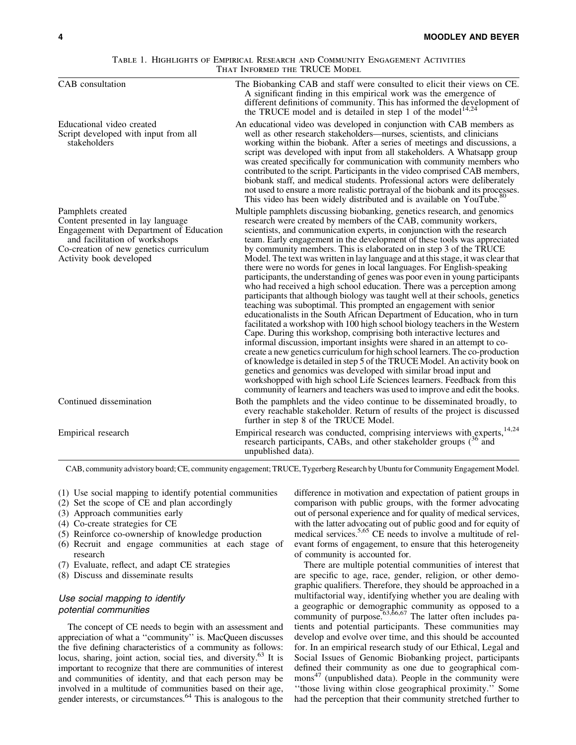#### Table 1. Highlights of Empirical Research and Community Engagement Activities THAT INFORMED THE TRUCE MODEL

| CAB consultation                                                                                                                                                                                        | The Biobanking CAB and staff were consulted to elicit their views on CE.<br>A significant finding in this empirical work was the emergence of<br>different definitions of community. This has informed the development of<br>the TRUCE model and is detailed in step 1 of the model <sup>14,24</sup>                                                                                                                                                                                                                                                                                                                                                                                                                                                                                                                                                                                                                                                                                                                                                                                                                                                                                                                                                                                                                                                                                                                                                                                                                                                              |
|---------------------------------------------------------------------------------------------------------------------------------------------------------------------------------------------------------|-------------------------------------------------------------------------------------------------------------------------------------------------------------------------------------------------------------------------------------------------------------------------------------------------------------------------------------------------------------------------------------------------------------------------------------------------------------------------------------------------------------------------------------------------------------------------------------------------------------------------------------------------------------------------------------------------------------------------------------------------------------------------------------------------------------------------------------------------------------------------------------------------------------------------------------------------------------------------------------------------------------------------------------------------------------------------------------------------------------------------------------------------------------------------------------------------------------------------------------------------------------------------------------------------------------------------------------------------------------------------------------------------------------------------------------------------------------------------------------------------------------------------------------------------------------------|
| Educational video created<br>Script developed with input from all<br>stakeholders                                                                                                                       | An educational video was developed in conjunction with CAB members as<br>well as other research stakeholders—nurses, scientists, and clinicians<br>working within the biobank. After a series of meetings and discussions, a<br>script was developed with input from all stakeholders. A Whatsapp group<br>was created specifically for communication with community members who<br>contributed to the script. Participants in the video comprised CAB members,<br>biobank staff, and medical students. Professional actors were deliberately<br>not used to ensure a more realistic portrayal of the biobank and its processes.<br>This video has been widely distributed and is available on YouTube. <sup>80</sup>                                                                                                                                                                                                                                                                                                                                                                                                                                                                                                                                                                                                                                                                                                                                                                                                                                             |
| Pamphlets created<br>Content presented in lay language<br>Engagement with Department of Education<br>and facilitation of workshops<br>Co-creation of new genetics curriculum<br>Activity book developed | Multiple pamphlets discussing biobanking, genetics research, and genomics<br>research were created by members of the CAB, community workers,<br>scientists, and communication experts, in conjunction with the research<br>team. Early engagement in the development of these tools was appreciated<br>by community members. This is elaborated on in step 3 of the TRUCE<br>Model. The text was written in lay language and at this stage, it was clear that<br>there were no words for genes in local languages. For English-speaking<br>participants, the understanding of genes was poor even in young participants<br>who had received a high school education. There was a perception among<br>participants that although biology was taught well at their schools, genetics<br>teaching was suboptimal. This prompted an engagement with senior<br>educationalists in the South African Department of Education, who in turn<br>facilitated a workshop with 100 high school biology teachers in the Western<br>Cape. During this workshop, comprising both interactive lectures and<br>informal discussion, important insights were shared in an attempt to co-<br>create a new genetics curriculum for high school learners. The co-production<br>of knowledge is detailed in step 5 of the TRUCE Model. An activity book on<br>genetics and genomics was developed with similar broad input and<br>workshopped with high school Life Sciences learners. Feedback from this<br>community of learners and teachers was used to improve and edit the books. |
| Continued dissemination                                                                                                                                                                                 | Both the pamphlets and the video continue to be disseminated broadly, to<br>every reachable stakeholder. Return of results of the project is discussed<br>further in step 8 of the TRUCE Model.                                                                                                                                                                                                                                                                                                                                                                                                                                                                                                                                                                                                                                                                                                                                                                                                                                                                                                                                                                                                                                                                                                                                                                                                                                                                                                                                                                   |
| Empirical research                                                                                                                                                                                      | Empirical research was conducted, comprising interviews with experts, 14,24<br>research participants, CABs, and other stakeholder groups (36 and<br>unpublished data).                                                                                                                                                                                                                                                                                                                                                                                                                                                                                                                                                                                                                                                                                                                                                                                                                                                                                                                                                                                                                                                                                                                                                                                                                                                                                                                                                                                            |

CAB, community advistory board; CE, community engagement; TRUCE, Tygerberg Research by Ubuntu for Community Engagement Model.

(1) Use social mapping to identify potential communities

- (2) Set the scope of CE and plan accordingly
- (3) Approach communities early
- (4) Co-create strategies for CE
- (5) Reinforce co-ownership of knowledge production
- (6) Recruit and engage communities at each stage of research
- (7) Evaluate, reflect, and adapt CE strategies
- (8) Discuss and disseminate results

## Use social mapping to identify potential communities

The concept of CE needs to begin with an assessment and appreciation of what a ''community'' is. MacQueen discusses the five defining characteristics of a community as follows: locus, sharing, joint action, social ties, and diversity.63 It is important to recognize that there are communities of interest and communities of identity, and that each person may be involved in a multitude of communities based on their age, gender interests, or circumstances.<sup>64</sup> This is analogous to the difference in motivation and expectation of patient groups in comparison with public groups, with the former advocating out of personal experience and for quality of medical services, with the latter advocating out of public good and for equity of medical services.<sup>5,65</sup> CE needs to involve a multitude of relevant forms of engagement, to ensure that this heterogeneity of community is accounted for.

There are multiple potential communities of interest that are specific to age, race, gender, religion, or other demographic qualifiers. Therefore, they should be approached in a multifactorial way, identifying whether you are dealing with a geographic or demographic community as opposed to a community of purpose.<sup>63,66,67</sup> The latter often includes patients and potential participants. These communities may develop and evolve over time, and this should be accounted for. In an empirical research study of our Ethical, Legal and Social Issues of Genomic Biobanking project, participants defined their community as one due to geographical com $mons<sup>47</sup>$  (unpublished data). People in the community were ''those living within close geographical proximity.'' Some had the perception that their community stretched further to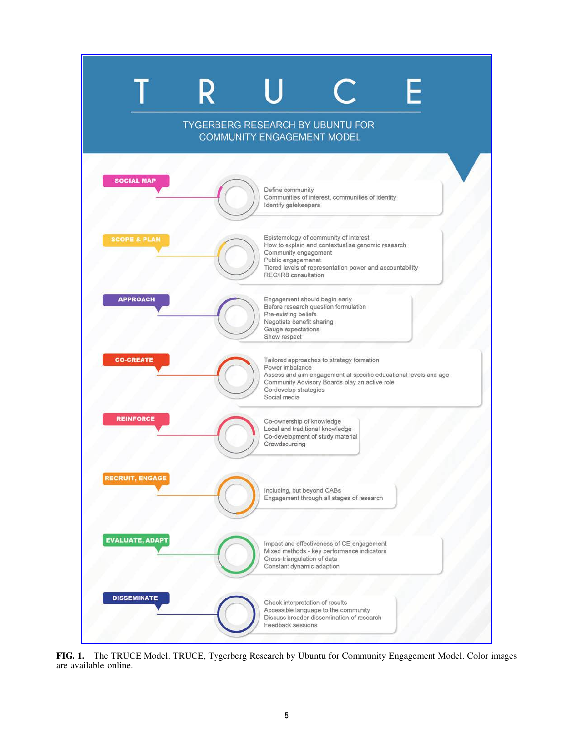

FIG. 1. The TRUCE Model. TRUCE, Tygerberg Research by Ubuntu for Community Engagement Model. Color images are available online.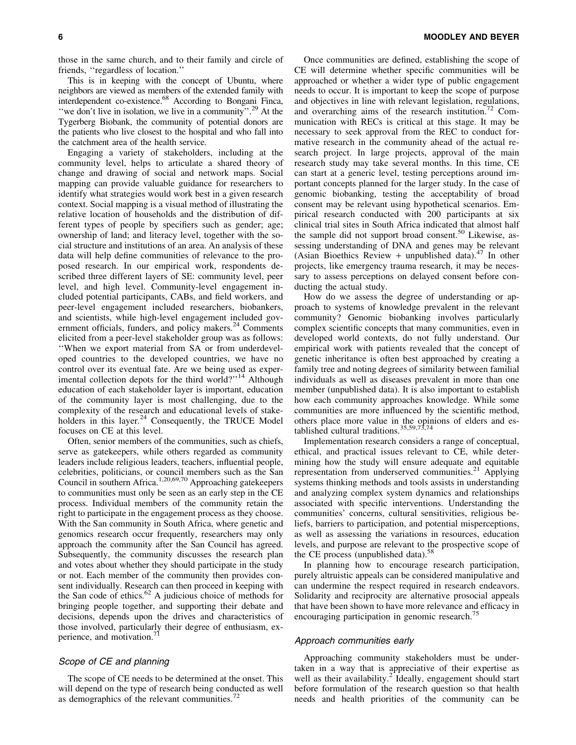those in the same church, and to their family and circle of friends, ''regardless of location.''

This is in keeping with the concept of Ubuntu, where neighbors are viewed as members of the extended family with interdependent co-existence.<sup>68</sup> According to Bongani Finca, "we don't live in isolation, we live in a community".<sup>29</sup> At the Tygerberg Biobank, the community of potential donors are the patients who live closest to the hospital and who fall into the catchment area of the health service.

Engaging a variety of stakeholders, including at the community level, helps to articulate a shared theory of change and drawing of social and network maps. Social mapping can provide valuable guidance for researchers to identify what strategies would work best in a given research context. Social mapping is a visual method of illustrating the relative location of households and the distribution of different types of people by specifiers such as gender; age; ownership of land; and literacy level, together with the social structure and institutions of an area. An analysis of these data will help define communities of relevance to the proposed research. In our empirical work, respondents described three different layers of SE: community level, peer level, and high level. Community-level engagement included potential participants, CABs, and field workers, and peer-level engagement included researchers, biobankers, and scientists, while high-level engagement included government officials, funders, and policy makers.<sup>24</sup> Comments elicited from a peer-level stakeholder group was as follows: ''When we export material from SA or from underdeveloped countries to the developed countries, we have no control over its eventual fate. Are we being used as experimental collection depots for the third world?"<sup>14</sup> Although education of each stakeholder layer is important, education of the community layer is most challenging, due to the complexity of the research and educational levels of stakeholders in this layer. $24$  Consequently, the TRUCE Model focuses on CE at this level.

Often, senior members of the communities, such as chiefs, serve as gatekeepers, while others regarded as community leaders include religious leaders, teachers, influential people, celebrities, politicians, or council members such as the San Council in southern Africa.<sup>1,20,69,70</sup> Approaching gatekeepers to communities must only be seen as an early step in the CE process. Individual members of the community retain the right to participate in the engagement process as they choose. With the San community in South Africa, where genetic and genomics research occur frequently, researchers may only approach the community after the San Council has agreed. Subsequently, the community discusses the research plan and votes about whether they should participate in the study or not. Each member of the community then provides consent individually. Research can then proceed in keeping with the San code of ethics.<sup>62</sup> A judicious choice of methods for bringing people together, and supporting their debate and decisions, depends upon the drives and characteristics of those involved, particularly their degree of enthusiasm, experience, and motivation.<sup>71</sup>

#### Scope of CE and planning

The scope of CE needs to be determined at the onset. This will depend on the type of research being conducted as well as demographics of the relevant communities. $72$ 

Once communities are defined, establishing the scope of CE will determine whether specific communities will be approached or whether a wider type of public engagement needs to occur. It is important to keep the scope of purpose and objectives in line with relevant legislation, regulations, and overarching aims of the research institution.<sup> $12$ </sup> Communication with RECs is critical at this stage. It may be necessary to seek approval from the REC to conduct formative research in the community ahead of the actual research project. In large projects, approval of the main research study may take several months. In this time, CE can start at a generic level, testing perceptions around important concepts planned for the larger study. In the case of genomic biobanking, testing the acceptability of broad consent may be relevant using hypothetical scenarios. Empirical research conducted with 200 participants at six clinical trial sites in South Africa indicated that almost half the sample did not support broad consent.<sup>50</sup> Likewise, assessing understanding of DNA and genes may be relevant (Asian Bioethics Review + unpublished data).<sup>47</sup> In other projects, like emergency trauma research, it may be necessary to assess perceptions on delayed consent before conducting the actual study.

How do we assess the degree of understanding or approach to systems of knowledge prevalent in the relevant community? Genomic biobanking involves particularly complex scientific concepts that many communities, even in developed world contexts, do not fully understand. Our empirical work with patients revealed that the concept of genetic inheritance is often best approached by creating a family tree and noting degrees of similarity between familial individuals as well as diseases prevalent in more than one member (unpublished data). It is also important to establish how each community approaches knowledge. While some communities are more influenced by the scientific method, others place more value in the opinions of elders and established cultural traditions.  $35,59,73,74$ 

Implementation research considers a range of conceptual, ethical, and practical issues relevant to CE, while determining how the study will ensure adequate and equitable representation from underserved communities. $21$  Applying systems thinking methods and tools assists in understanding and analyzing complex system dynamics and relationships associated with specific interventions. Understanding the communities' concerns, cultural sensitivities, religious beliefs, barriers to participation, and potential misperceptions, as well as assessing the variations in resources, education levels, and purpose are relevant to the prospective scope of the CE process (unpublished data).<sup>58</sup>

In planning how to encourage research participation, purely altruistic appeals can be considered manipulative and can undermine the respect required in research endeavors. Solidarity and reciprocity are alternative prosocial appeals that have been shown to have more relevance and efficacy in encouraging participation in genomic research.<sup>7</sup>

# Approach communities early

Approaching community stakeholders must be undertaken in a way that is appreciative of their expertise as well as their availability.<sup>2</sup> Ideally, engagement should start before formulation of the research question so that health needs and health priorities of the community can be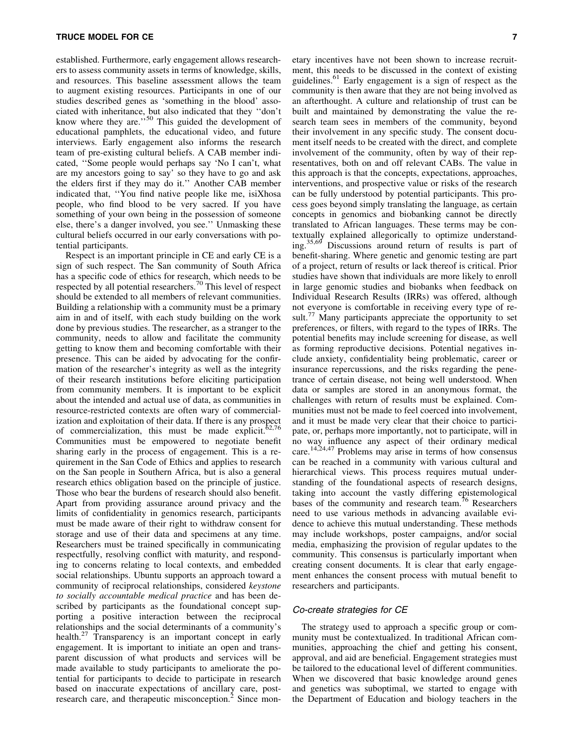established. Furthermore, early engagement allows researchers to assess community assets in terms of knowledge, skills, and resources. This baseline assessment allows the team to augment existing resources. Participants in one of our studies described genes as 'something in the blood' associated with inheritance, but also indicated that they ''don't know where they are." $50$  This guided the development of educational pamphlets, the educational video, and future interviews. Early engagement also informs the research team of pre-existing cultural beliefs. A CAB member indicated, ''Some people would perhaps say 'No I can't, what are my ancestors going to say' so they have to go and ask the elders first if they may do it.'' Another CAB member indicated that, ''You find native people like me, isiXhosa people, who find blood to be very sacred. If you have something of your own being in the possession of someone else, there's a danger involved, you see.'' Unmasking these cultural beliefs occurred in our early conversations with potential participants.

Respect is an important principle in CE and early CE is a sign of such respect. The San community of South Africa has a specific code of ethics for research, which needs to be respected by all potential researchers.<sup>70</sup> This level of respect should be extended to all members of relevant communities. Building a relationship with a community must be a primary aim in and of itself, with each study building on the work done by previous studies. The researcher, as a stranger to the community, needs to allow and facilitate the community getting to know them and becoming comfortable with their presence. This can be aided by advocating for the confirmation of the researcher's integrity as well as the integrity of their research institutions before eliciting participation from community members. It is important to be explicit about the intended and actual use of data, as communities in resource-restricted contexts are often wary of commercialization and exploitation of their data. If there is any prospect of commercialization, this must be made explicit. $62,76$ Communities must be empowered to negotiate benefit sharing early in the process of engagement. This is a requirement in the San Code of Ethics and applies to research on the San people in Southern Africa, but is also a general research ethics obligation based on the principle of justice. Those who bear the burdens of research should also benefit. Apart from providing assurance around privacy and the limits of confidentiality in genomics research, participants must be made aware of their right to withdraw consent for storage and use of their data and specimens at any time. Researchers must be trained specifically in communicating respectfully, resolving conflict with maturity, and responding to concerns relating to local contexts, and embedded social relationships. Ubuntu supports an approach toward a community of reciprocal relationships, considered *keystone to socially accountable medical practice* and has been described by participants as the foundational concept supporting a positive interaction between the reciprocal relationships and the social determinants of a community's health.<sup>27</sup> Transparency is an important concept in early engagement. It is important to initiate an open and transparent discussion of what products and services will be made available to study participants to ameliorate the potential for participants to decide to participate in research based on inaccurate expectations of ancillary care, postresearch care, and therapeutic misconception.<sup>2</sup> Since monetary incentives have not been shown to increase recruitment, this needs to be discussed in the context of existing guidelines.<sup>61</sup> Early engagement is a sign of respect as the community is then aware that they are not being involved as an afterthought. A culture and relationship of trust can be built and maintained by demonstrating the value the research team sees in members of the community, beyond their involvement in any specific study. The consent document itself needs to be created with the direct, and complete involvement of the community, often by way of their representatives, both on and off relevant CABs. The value in this approach is that the concepts, expectations, approaches, interventions, and prospective value or risks of the research can be fully understood by potential participants. This process goes beyond simply translating the language, as certain concepts in genomics and biobanking cannot be directly translated to African languages. These terms may be contextually explained allegorically to optimize understanding.35,69 Discussions around return of results is part of benefit-sharing. Where genetic and genomic testing are part of a project, return of results or lack thereof is critical. Prior studies have shown that individuals are more likely to enroll in large genomic studies and biobanks when feedback on Individual Research Results (IRRs) was offered, although not everyone is comfortable in receiving every type of result.<sup>77</sup> Many participants appreciate the opportunity to set preferences, or filters, with regard to the types of IRRs. The potential benefits may include screening for disease, as well as forming reproductive decisions. Potential negatives include anxiety, confidentiality being problematic, career or insurance repercussions, and the risks regarding the penetrance of certain disease, not being well understood. When data or samples are stored in an anonymous format, the challenges with return of results must be explained. Communities must not be made to feel coerced into involvement, and it must be made very clear that their choice to participate, or, perhaps more importantly, not to participate, will in no way influence any aspect of their ordinary medical care.14,24,47 Problems may arise in terms of how consensus can be reached in a community with various cultural and hierarchical views. This process requires mutual understanding of the foundational aspects of research designs, taking into account the vastly differing epistemological bases of the community and research team.<sup>76</sup> Researchers need to use various methods in advancing available evidence to achieve this mutual understanding. These methods may include workshops, poster campaigns, and/or social media, emphasizing the provision of regular updates to the community. This consensus is particularly important when creating consent documents. It is clear that early engagement enhances the consent process with mutual benefit to researchers and participants.

#### Co-create strategies for CE

The strategy used to approach a specific group or community must be contextualized. In traditional African communities, approaching the chief and getting his consent, approval, and aid are beneficial. Engagement strategies must be tailored to the educational level of different communities. When we discovered that basic knowledge around genes and genetics was suboptimal, we started to engage with the Department of Education and biology teachers in the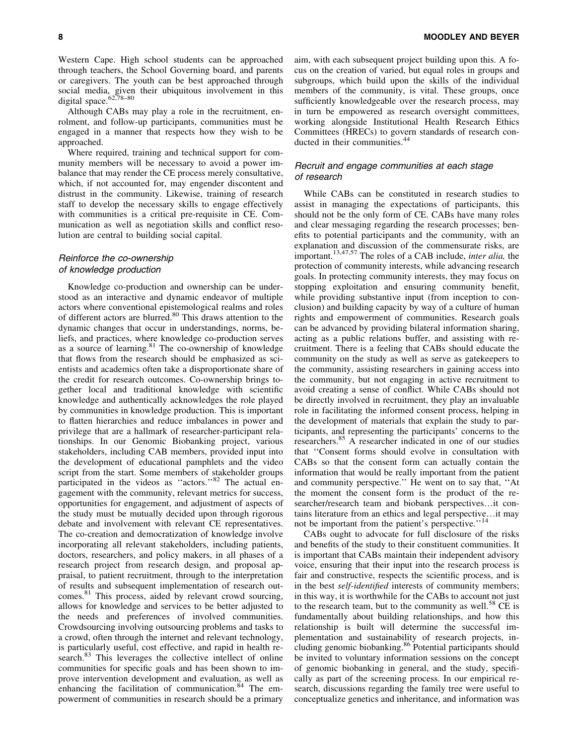Although CABs may play a role in the recruitment, enrolment, and follow-up participants, communities must be engaged in a manner that respects how they wish to be approached.

Where required, training and technical support for community members will be necessary to avoid a power imbalance that may render the CE process merely consultative, which, if not accounted for, may engender discontent and distrust in the community. Likewise, training of research staff to develop the necessary skills to engage effectively with communities is a critical pre-requisite in CE. Communication as well as negotiation skills and conflict resolution are central to building social capital.

# Reinforce the co-ownership of knowledge production

Knowledge co-production and ownership can be understood as an interactive and dynamic endeavor of multiple actors where conventional epistemological realms and roles of different actors are blurred.<sup>80</sup> This draws attention to the dynamic changes that occur in understandings, norms, beliefs, and practices, where knowledge co-production serves as a source of learning.<sup>81</sup> The co-ownership of knowledge that flows from the research should be emphasized as scientists and academics often take a disproportionate share of the credit for research outcomes. Co-ownership brings together local and traditional knowledge with scientific knowledge and authentically acknowledges the role played by communities in knowledge production. This is important to flatten hierarchies and reduce imbalances in power and privilege that are a hallmark of researcher-participant relationships. In our Genomic Biobanking project, various stakeholders, including CAB members, provided input into the development of educational pamphlets and the video script from the start. Some members of stakeholder groups participated in the videos as "actors."<sup>82</sup> The actual engagement with the community, relevant metrics for success, opportunities for engagement, and adjustment of aspects of the study must be mutually decided upon through rigorous debate and involvement with relevant CE representatives. The co-creation and democratization of knowledge involve incorporating all relevant stakeholders, including patients, doctors, researchers, and policy makers, in all phases of a research project from research design, and proposal appraisal, to patient recruitment, through to the interpretation of results and subsequent implementation of research outcomes.<sup>81</sup> This process, aided by relevant crowd sourcing, allows for knowledge and services to be better adjusted to the needs and preferences of involved communities. Crowdsourcing involving outsourcing problems and tasks to a crowd, often through the internet and relevant technology, is particularly useful, cost effective, and rapid in health research.<sup>83</sup> This leverages the collective intellect of online communities for specific goals and has been shown to improve intervention development and evaluation, as well as enhancing the facilitation of communication.<sup>84</sup> The empowerment of communities in research should be a primary aim, with each subsequent project building upon this. A focus on the creation of varied, but equal roles in groups and subgroups, which build upon the skills of the individual members of the community, is vital. These groups, once sufficiently knowledgeable over the research process, may in turn be empowered as research oversight committees, working alongside Institutional Health Research Ethics Committees (HRECs) to govern standards of research conducted in their communities.<sup>44</sup>

# Recruit and engage communities at each stage of research

While CABs can be constituted in research studies to assist in managing the expectations of participants, this should not be the only form of CE. CABs have many roles and clear messaging regarding the research processes; benefits to potential participants and the community, with an explanation and discussion of the commensurate risks, are important.13,47,57 The roles of a CAB include, *inter alia,* the protection of community interests, while advancing research goals. In protecting community interests, they may focus on stopping exploitation and ensuring community benefit, while providing substantive input (from inception to conclusion) and building capacity by way of a culture of human rights and empowerment of communities. Research goals can be advanced by providing bilateral information sharing, acting as a public relations buffer, and assisting with recruitment. There is a feeling that CABs should educate the community on the study as well as serve as gatekeepers to the community, assisting researchers in gaining access into the community, but not engaging in active recruitment to avoid creating a sense of conflict. While CABs should not be directly involved in recruitment, they play an invaluable role in facilitating the informed consent process, helping in the development of materials that explain the study to participants, and representing the participants' concerns to the researchers.85 A researcher indicated in one of our studies that ''Consent forms should evolve in consultation with CABs so that the consent form can actually contain the information that would be really important from the patient and community perspective.'' He went on to say that, ''At the moment the consent form is the product of the researcher/research team and biobank perspectives...it contains literature from an ethics and legal perspective... it may not be important from the patient's perspective."<sup>14</sup>

CABs ought to advocate for full disclosure of the risks and benefits of the study to their constituent communities. It is important that CABs maintain their independent advisory voice, ensuring that their input into the research process is fair and constructive, respects the scientific process, and is in the best *self-identified* interests of community members; in this way, it is worthwhile for the CABs to account not just to the research team, but to the community as well.<sup>58</sup> CE is fundamentally about building relationships, and how this relationship is built will determine the successful implementation and sustainability of research projects, including genomic biobanking.<sup>86</sup> Potential participants should be invited to voluntary information sessions on the concept of genomic biobanking in general, and the study, specifically as part of the screening process. In our empirical research, discussions regarding the family tree were useful to conceptualize genetics and inheritance, and information was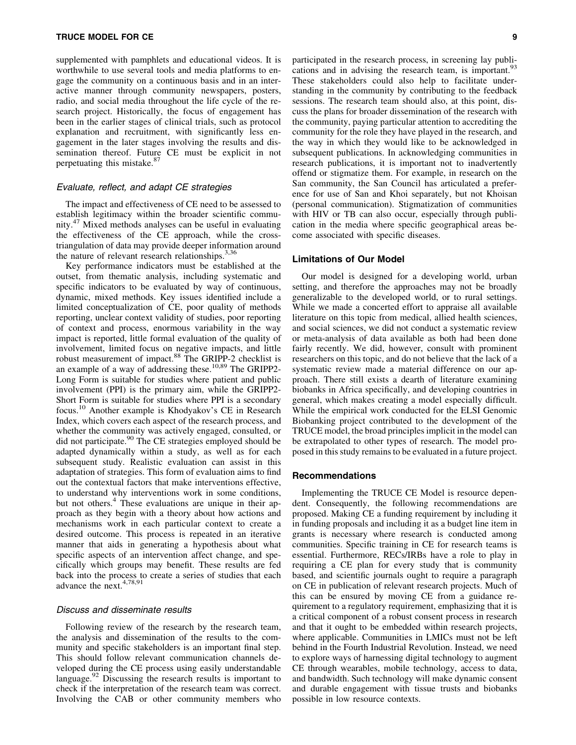supplemented with pamphlets and educational videos. It is worthwhile to use several tools and media platforms to engage the community on a continuous basis and in an interactive manner through community newspapers, posters, radio, and social media throughout the life cycle of the research project. Historically, the focus of engagement has been in the earlier stages of clinical trials, such as protocol explanation and recruitment, with significantly less engagement in the later stages involving the results and dissemination thereof. Future CE must be explicit in not perpetuating this mistake.<sup>87</sup>

## Evaluate, reflect, and adapt CE strategies

The impact and effectiveness of CE need to be assessed to establish legitimacy within the broader scientific community.<sup>47</sup> Mixed methods analyses can be useful in evaluating the effectiveness of the CE approach, while the crosstriangulation of data may provide deeper information around the nature of relevant research relationships.  $3,36$ 

Key performance indicators must be established at the outset, from thematic analysis, including systematic and specific indicators to be evaluated by way of continuous, dynamic, mixed methods. Key issues identified include a limited conceptualization of CE, poor quality of methods reporting, unclear context validity of studies, poor reporting of context and process, enormous variability in the way impact is reported, little formal evaluation of the quality of involvement, limited focus on negative impacts, and little robust measurement of impact.<sup>88</sup> The GRIPP-2 checklist is an example of a way of addressing these.<sup>10,89</sup> The GRIPP2-Long Form is suitable for studies where patient and public involvement (PPI) is the primary aim, while the GRIPP2- Short Form is suitable for studies where PPI is a secondary focus.<sup>10</sup> Another example is Khodyakov's CE in Research Index, which covers each aspect of the research process, and whether the community was actively engaged, consulted, or did not participate.<sup>90</sup> The CE strategies employed should be adapted dynamically within a study, as well as for each subsequent study. Realistic evaluation can assist in this adaptation of strategies. This form of evaluation aims to find out the contextual factors that make interventions effective, to understand why interventions work in some conditions, but not others.<sup>4</sup> These evaluations are unique in their approach as they begin with a theory about how actions and mechanisms work in each particular context to create a desired outcome. This process is repeated in an iterative manner that aids in generating a hypothesis about what specific aspects of an intervention affect change, and specifically which groups may benefit. These results are fed back into the process to create a series of studies that each advance the next.<sup>4,78,91</sup>

## Discuss and disseminate results

Following review of the research by the research team, the analysis and dissemination of the results to the community and specific stakeholders is an important final step. This should follow relevant communication channels developed during the CE process using easily understandable language. $92$  Discussing the research results is important to check if the interpretation of the research team was correct. Involving the CAB or other community members who participated in the research process, in screening lay publications and in advising the research team, is important.  $93$ These stakeholders could also help to facilitate understanding in the community by contributing to the feedback sessions. The research team should also, at this point, discuss the plans for broader dissemination of the research with the community, paying particular attention to accrediting the community for the role they have played in the research, and the way in which they would like to be acknowledged in subsequent publications. In acknowledging communities in research publications, it is important not to inadvertently offend or stigmatize them. For example, in research on the San community, the San Council has articulated a preference for use of San and Khoi separately, but not Khoisan (personal communication). Stigmatization of communities with HIV or TB can also occur, especially through publication in the media where specific geographical areas become associated with specific diseases.

## Limitations of Our Model

Our model is designed for a developing world, urban setting, and therefore the approaches may not be broadly generalizable to the developed world, or to rural settings. While we made a concerted effort to appraise all available literature on this topic from medical, allied health sciences, and social sciences, we did not conduct a systematic review or meta-analysis of data available as both had been done fairly recently. We did, however, consult with prominent researchers on this topic, and do not believe that the lack of a systematic review made a material difference on our approach. There still exists a dearth of literature examining biobanks in Africa specifically, and developing countries in general, which makes creating a model especially difficult. While the empirical work conducted for the ELSI Genomic Biobanking project contributed to the development of the TRUCE model, the broad principles implicit in the model can be extrapolated to other types of research. The model proposed in this study remains to be evaluated in a future project.

#### Recommendations

Implementing the TRUCE CE Model is resource dependent. Consequently, the following recommendations are proposed. Making CE a funding requirement by including it in funding proposals and including it as a budget line item in grants is necessary where research is conducted among communities. Specific training in CE for research teams is essential. Furthermore, RECs/IRBs have a role to play in requiring a CE plan for every study that is community based, and scientific journals ought to require a paragraph on CE in publication of relevant research projects. Much of this can be ensured by moving CE from a guidance requirement to a regulatory requirement, emphasizing that it is a critical component of a robust consent process in research and that it ought to be embedded within research projects, where applicable. Communities in LMICs must not be left behind in the Fourth Industrial Revolution. Instead, we need to explore ways of harnessing digital technology to augment CE through wearables, mobile technology, access to data, and bandwidth. Such technology will make dynamic consent and durable engagement with tissue trusts and biobanks possible in low resource contexts.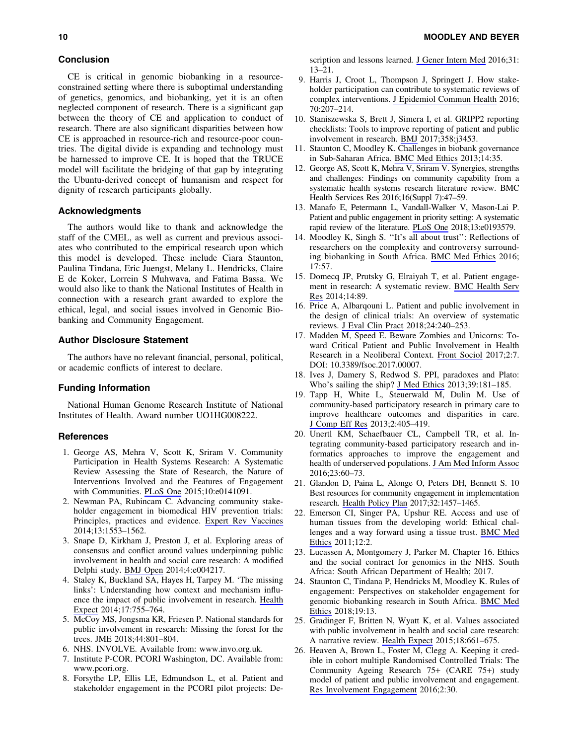## Conclusion

CE is critical in genomic biobanking in a resourceconstrained setting where there is suboptimal understanding of genetics, genomics, and biobanking, yet it is an often neglected component of research. There is a significant gap between the theory of CE and application to conduct of research. There are also significant disparities between how CE is approached in resource-rich and resource-poor countries. The digital divide is expanding and technology must be harnessed to improve CE. It is hoped that the TRUCE model will facilitate the bridging of that gap by integrating the Ubuntu-derived concept of humanism and respect for dignity of research participants globally.

## Acknowledgments

The authors would like to thank and acknowledge the staff of the CMEL, as well as current and previous associates who contributed to the empirical research upon which this model is developed. These include Ciara Staunton, Paulina Tindana, Eric Juengst, Melany L. Hendricks, Claire E de Koker, Lorrein S Muhwava, and Fatima Bassa. We would also like to thank the National Institutes of Health in connection with a research grant awarded to explore the ethical, legal, and social issues involved in Genomic Biobanking and Community Engagement.

## Author Disclosure Statement

The authors have no relevant financial, personal, political, or academic conflicts of interest to declare.

## Funding Information

National Human Genome Research Institute of National Institutes of Health. Award number UO1HG008222.

#### References

- 1. George AS, Mehra V, Scott K, Sriram V. Community Participation in Health Systems Research: A Systematic Review Assessing the State of Research, the Nature of Interventions Involved and the Features of Engagement with Communities. [PLoS One](https://www.liebertpub.com/action/showLinks?doi=10.1089%2Fbio.2018.0136&pmid=26496124&crossref=10.1371%2Fjournal.pone.0141091&citationId=p_44) 2015;10:e0141091.
- 2. Newman PA, Rubincam C. Advancing community stakeholder engagement in biomedical HIV prevention trials: Principles, practices and evidence. [Expert Rev Vaccines](https://www.liebertpub.com/action/showLinks?doi=10.1089%2Fbio.2018.0136&pmid=25174764&crossref=10.1586%2F14760584.2014.953484&citationId=p_45) 2014;13:1553–1562.
- 3. Snape D, Kirkham J, Preston J, et al. Exploring areas of consensus and conflict around values underpinning public involvement in health and social care research: A modified Delphi study. [BMJ Open](https://www.liebertpub.com/action/showLinks?doi=10.1089%2Fbio.2018.0136&pmid=24413356&citationId=p_46) 2014;4:e004217.
- 4. Staley K, Buckland SA, Hayes H, Tarpey M. 'The missing links': Understanding how context and mechanism influence the impact of public involvement in research. [Health](https://www.liebertpub.com/action/showLinks?doi=10.1089%2Fbio.2018.0136&pmid=23107054&crossref=10.1111%2Fhex.12017&citationId=p_47) [Expect](https://www.liebertpub.com/action/showLinks?doi=10.1089%2Fbio.2018.0136&pmid=23107054&crossref=10.1111%2Fhex.12017&citationId=p_47) 2014;17:755–764.
- 5. McCoy MS, Jongsma KR, Friesen P. National standards for public involvement in research: Missing the forest for the trees. JME 2018;44:801–804.
- 6. NHS. INVOLVE. Available from: [www.invo.org.uk](http://www.invo.org.uk).
- 7. Institute P-COR. PCORI Washington, DC. Available from: [www.pcori.org.](http://www.pcori.org)
- 8. Forsythe LP, Ellis LE, Edmundson L, et al. Patient and stakeholder engagement in the PCORI pilot projects: De-

scription and lessons learned. [J Gener Intern Med](https://www.liebertpub.com/action/showLinks?doi=10.1089%2Fbio.2018.0136&pmid=26160480&crossref=10.1007%2Fs11606-015-3450-z&citationId=p_51) 2016;31: 13–21.

- 9. Harris J, Croot L, Thompson J, Springett J. How stakeholder participation can contribute to systematic reviews of complex interventions. [J Epidemiol Commun Health](https://www.liebertpub.com/action/showLinks?doi=10.1089%2Fbio.2018.0136&pmid=26475921&crossref=10.1136%2Fjech-2015-205701&citationId=p_52) 2016; 70:207–214.
- 10. Staniszewska S, Brett J, Simera I, et al. GRIPP2 reporting checklists: Tools to improve reporting of patient and public involvement in research. [BMJ](https://www.liebertpub.com/action/showLinks?doi=10.1089%2Fbio.2018.0136&pmid=28768629&crossref=10.1136%2Fbmj.j3453&citationId=p_53) 2017;358:j3453.
- 11. Staunton C, Moodley K. Challenges in biobank governance in Sub-Saharan Africa. [BMC Med Ethics](https://www.liebertpub.com/action/showLinks?doi=10.1089%2Fbio.2018.0136&pmid=24025667&crossref=10.1186%2F1472-6939-14-35&citationId=p_54) 2013;14:35.
- 12. George AS, Scott K, Mehra V, Sriram V. Synergies, strengths and challenges: Findings on community capability from a systematic health systems research literature review. BMC Health Services Res 2016;16(Suppl 7):47–59.
- 13. Manafo E, Petermann L, Vandall-Walker V, Mason-Lai P. Patient and public engagement in priority setting: A systematic rapid review of the literature. [PLoS One](https://www.liebertpub.com/action/showLinks?doi=10.1089%2Fbio.2018.0136&pmid=29499043&crossref=10.1371%2Fjournal.pone.0193579&citationId=p_56) 2018;13:e0193579.
- 14. Moodley K, Singh S. ''It's all about trust'': Reflections of researchers on the complexity and controversy surrounding biobanking in South Africa. [BMC Med Ethics](https://www.liebertpub.com/action/showLinks?doi=10.1089%2Fbio.2018.0136&pmid=27724893&crossref=10.1186%2Fs12910-016-0140-2&citationId=p_57) 2016; 17:57.
- 15. Domecq JP, Prutsky G, Elraiyah T, et al. Patient engagement in research: A systematic review. [BMC Health Serv](https://www.liebertpub.com/action/showLinks?doi=10.1089%2Fbio.2018.0136&pmid=24568690&crossref=10.1186%2F1472-6963-14-89&citationId=p_58) [Res](https://www.liebertpub.com/action/showLinks?doi=10.1089%2Fbio.2018.0136&pmid=24568690&crossref=10.1186%2F1472-6963-14-89&citationId=p_58) 2014;14:89.
- 16. Price A, Albarqouni L. Patient and public involvement in the design of clinical trials: An overview of systematic reviews. [J Eval Clin Pract](https://www.liebertpub.com/action/showLinks?doi=10.1089%2Fbio.2018.0136&pmid=29076631&crossref=10.1111%2Fjep.12805&citationId=p_59) 2018;24:240–253.
- 17. Madden M, Speed E. Beware Zombies and Unicorns: Toward Critical Patient and Public Involvement in Health Research in a Neoliberal Context. [Front Sociol](https://www.liebertpub.com/action/showLinks?doi=10.1089%2Fbio.2018.0136&crossref=10.3389%2Ffsoc.2017.00007&citationId=p_60) 2017;2:7. DOI: 10.3389/fsoc.2017.00007.
- 18. Ives J, Damery S, Redwod S. PPI, paradoxes and Plato: Who's sailing the ship? [J Med Ethics](https://www.liebertpub.com/action/showLinks?doi=10.1089%2Fbio.2018.0136&pmid=22267385&crossref=10.1136%2Fmedethics-2011-100150&citationId=p_61) 2013;39:181–185.
- 19. Tapp H, White L, Steuerwald M, Dulin M. Use of community-based participatory research in primary care to improve healthcare outcomes and disparities in care. [J Comp Eff Res](https://www.liebertpub.com/action/showLinks?doi=10.1089%2Fbio.2018.0136&pmid=24236682&crossref=10.2217%2Fcer.13.45&citationId=p_62) 2013;2:405–419.
- 20. Unertl KM, Schaefbauer CL, Campbell TR, et al. Integrating community-based participatory research and informatics approaches to improve the engagement and health of underserved populations. [J Am Med Inform Assoc](https://www.liebertpub.com/action/showLinks?doi=10.1089%2Fbio.2018.0136&pmid=26228766&crossref=10.1093%2Fjamia%2Focv094&citationId=p_63) 2016;23:60–73.
- 21. Glandon D, Paina L, Alonge O, Peters DH, Bennett S. 10 Best resources for community engagement in implementation research. [Health Policy Plan](https://www.liebertpub.com/action/showLinks?doi=10.1089%2Fbio.2018.0136&pmid=29092039&crossref=10.1093%2Fheapol%2Fczx123&citationId=p_64) 2017;32:1457–1465.
- 22. Emerson CI, Singer PA, Upshur RE. Access and use of human tissues from the developing world: Ethical challenges and a way forward using a tissue trust. [BMC Med](https://www.liebertpub.com/action/showLinks?doi=10.1089%2Fbio.2018.0136&pmid=21266076&crossref=10.1186%2F1472-6939-12-2&citationId=p_65) [Ethics](https://www.liebertpub.com/action/showLinks?doi=10.1089%2Fbio.2018.0136&pmid=21266076&crossref=10.1186%2F1472-6939-12-2&citationId=p_65) 2011;12:2.
- 23. Lucassen A, Montgomery J, Parker M. Chapter 16. Ethics and the social contract for genomics in the NHS. South Africa: South African Department of Health; 2017.
- 24. Staunton C, Tindana P, Hendricks M, Moodley K. Rules of engagement: Perspectives on stakeholder engagement for genomic biobanking research in South Africa. [BMC Med](https://www.liebertpub.com/action/showLinks?doi=10.1089%2Fbio.2018.0136&pmid=29482536&crossref=10.1186%2Fs12910-018-0252-y&citationId=p_67) [Ethics](https://www.liebertpub.com/action/showLinks?doi=10.1089%2Fbio.2018.0136&pmid=29482536&crossref=10.1186%2Fs12910-018-0252-y&citationId=p_67) 2018;19:13.
- 25. Gradinger F, Britten N, Wyatt K, et al. Values associated with public involvement in health and social care research: A narrative review. [Health Expect](https://www.liebertpub.com/action/showLinks?doi=10.1089%2Fbio.2018.0136&pmid=24325553&crossref=10.1111%2Fhex.12158&citationId=p_68) 2015;18:661–675.
- 26. Heaven A, Brown L, Foster M, Clegg A. Keeping it credible in cohort multiple Randomised Controlled Trials: The Community Ageing Research 75+ (CARE 75+) study model of patient and public involvement and engagement. [Res Involvement Engagement](https://www.liebertpub.com/action/showLinks?doi=10.1089%2Fbio.2018.0136&pmid=29062525&crossref=10.1186%2Fs40900-016-0044-9&citationId=p_69) 2016;2:30.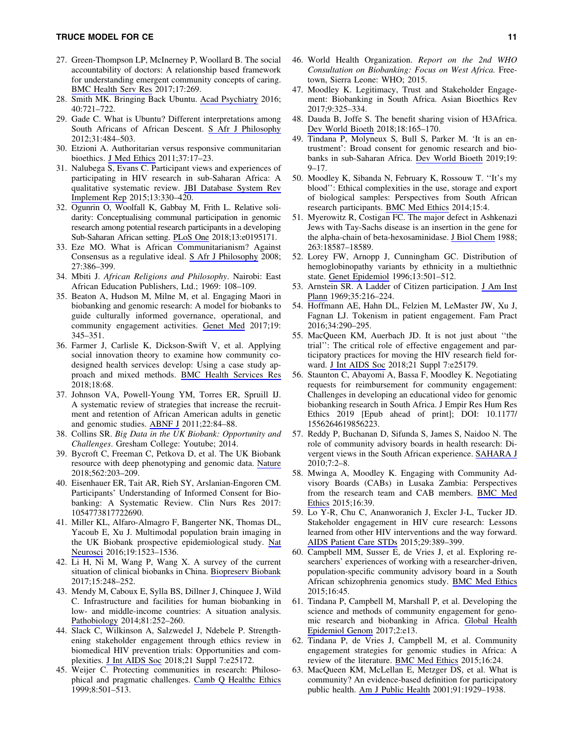- 27. Green-Thompson LP, McInerney P, Woollard B. The social accountability of doctors: A relationship based framework for understanding emergent community concepts of caring. [BMC Health Serv Res](https://www.liebertpub.com/action/showLinks?doi=10.1089%2Fbio.2018.0136&pmid=28403860&crossref=10.1186%2Fs12913-017-2239-7&citationId=p_70) 2017;17:269.
- 28. Smith MK. Bringing Back Ubuntu. [Acad Psychiatry](https://www.liebertpub.com/action/showLinks?doi=10.1089%2Fbio.2018.0136&pmid=26670789&crossref=10.1007%2Fs40596-015-0451-5&citationId=p_71) 2016; 40:721–722.
- 29. Gade C. What is Ubuntu? Different interpretations among South Africans of African Descent. [S Afr J Philosophy](https://www.liebertpub.com/action/showLinks?doi=10.1089%2Fbio.2018.0136&crossref=10.1080%2F02580136.2012.10751789&citationId=p_72) 2012;31:484–503.
- 30. Etzioni A. Authoritarian versus responsive communitarian bioethics. [J Med Ethics](https://www.liebertpub.com/action/showLinks?doi=10.1089%2Fbio.2018.0136&pmid=21030472&crossref=10.1136%2Fjme.2010.037846&citationId=p_73) 2011;37:17–23.
- 31. Nalubega S, Evans C. Participant views and experiences of participating in HIV research in sub-Saharan Africa: A qualitative systematic review. [JBI Database System Rev](https://www.liebertpub.com/action/showLinks?doi=10.1089%2Fbio.2018.0136&pmid=26455613&citationId=p_74) [Implement Rep](https://www.liebertpub.com/action/showLinks?doi=10.1089%2Fbio.2018.0136&pmid=26455613&citationId=p_74) 2015;13:330–420.
- 32. Ogunrin O, Woolfall K, Gabbay M, Frith L. Relative solidarity: Conceptualising communal participation in genomic research among potential research participants in a developing Sub-Saharan African setting. [PLoS One](https://www.liebertpub.com/action/showLinks?doi=10.1089%2Fbio.2018.0136&pmid=29621313&citationId=p_75) 2018;13:e0195171.
- 33. Eze MO. What is African Communitarianism? Against Consensus as a regulative ideal. [S Afr J Philosophy](https://www.liebertpub.com/action/showLinks?doi=10.1089%2Fbio.2018.0136&crossref=10.4314%2Fsajpem.v27i4.31526&citationId=p_76) 2008; 27:386–399.
- 34. Mbiti J. *African Religions and Philosophy*. Nairobi: East African Education Publishers, Ltd.; 1969: 108–109.
- 35. Beaton A, Hudson M, Milne M, et al. Engaging Maori in biobanking and genomic research: A model for biobanks to guide culturally informed governance, operational, and community engagement activities. [Genet Med](https://www.liebertpub.com/action/showLinks?doi=10.1089%2Fbio.2018.0136&pmid=27632687&crossref=10.1038%2Fgim.2016.111&citationId=p_78) 2017;19: 345–351.
- 36. Farmer J, Carlisle K, Dickson-Swift V, et al. Applying social innovation theory to examine how community codesigned health services develop: Using a case study approach and mixed methods. [BMC Health Services Res](https://www.liebertpub.com/action/showLinks?doi=10.1089%2Fbio.2018.0136&pmid=29386012&crossref=10.1186%2Fs12913-018-2852-0&citationId=p_79) 2018;18:68.
- 37. Johnson VA, Powell-Young YM, Torres ER, Spruill IJ. A systematic review of strategies that increase the recruitment and retention of African American adults in genetic and genomic studies. [ABNF J](https://www.liebertpub.com/action/showLinks?doi=10.1089%2Fbio.2018.0136&pmid=22165568&citationId=p_80) 2011;22:84–88.
- 38. Collins SR. *Big Data in the UK Biobank: Opportunity and Challenges*. Gresham College: Youtube; 2014.
- 39. Bycroft C, Freeman C, Petkova D, et al. The UK Biobank resource with deep phenotyping and genomic data. [Nature](https://www.liebertpub.com/action/showLinks?doi=10.1089%2Fbio.2018.0136&pmid=30305743&crossref=10.1038%2Fs41586-018-0579-z&citationId=p_82) 2018;562:203–209.
- 40. Eisenhauer ER, Tait AR, Rieh SY, Arslanian-Engoren CM. Participants' Understanding of Informed Consent for Biobanking: A Systematic Review. Clin Nurs Res 2017: 1054773817722690.
- 41. Miller KL, Alfaro-Almagro F, Bangerter NK, Thomas DL, Yacoub E, Xu J. Multimodal population brain imaging in the UK Biobank prospective epidemiological study. [Nat](https://www.liebertpub.com/action/showLinks?doi=10.1089%2Fbio.2018.0136&pmid=27643430&crossref=10.1038%2Fnn.4393&citationId=p_84) [Neurosci](https://www.liebertpub.com/action/showLinks?doi=10.1089%2Fbio.2018.0136&pmid=27643430&crossref=10.1038%2Fnn.4393&citationId=p_84) 2016;19:1523–1536.
- 42. Li H, Ni M, Wang P, Wang X. A survey of the current situation of clinical biobanks in China. [Biopreserv Biobank](https://www.liebertpub.com/action/showLinks?doi=10.1089%2Fbio.2018.0136&system=10.1089%2Fbio.2016.0095&citationId=p_85) 2017;15:248–252.
- 43. Mendy M, Caboux E, Sylla BS, Dillner J, Chinquee J, Wild C. Infrastructure and facilities for human biobanking in low- and middle-income countries: A situation analysis. [Pathobiology](https://www.liebertpub.com/action/showLinks?doi=10.1089%2Fbio.2018.0136&pmid=25792214&crossref=10.1159%2F000362093&citationId=p_86) 2014;81:252–260.
- 44. Slack C, Wilkinson A, Salzwedel J, Ndebele P. Strengthening stakeholder engagement through ethics review in biomedical HIV prevention trials: Opportunities and complexities. [J Int AIDS Soc](https://www.liebertpub.com/action/showLinks?doi=10.1089%2Fbio.2018.0136&pmid=30334604&crossref=10.1002%2Fjia2.25172&citationId=p_87) 2018;21 Suppl 7:e25172.
- 45. Weijer C. Protecting communities in research: Philosophical and pragmatic challenges. [Camb Q Healthc Ethics](https://www.liebertpub.com/action/showLinks?doi=10.1089%2Fbio.2018.0136&pmid=10513308&crossref=10.1017%2FS0963180199004120&citationId=p_88) 1999;8:501–513.
- 46. World Health Organization. *Report on the 2nd WHO Consultation on Biobanking: Focus on West Africa.* Freetown, Sierra Leone: WHO; 2015.
- 47. Moodley K. Legitimacy, Trust and Stakeholder Engagement: Biobanking in South Africa. Asian Bioethics Rev 2017;9:325–334.
- 48. Dauda B, Joffe S. The benefit sharing vision of H3Africa. [Dev World Bioeth](https://www.liebertpub.com/action/showLinks?doi=10.1089%2Fbio.2018.0136&pmid=29446211&crossref=10.1111%2Fdewb.12185&citationId=p_91) 2018;18:165–170.
- 49. Tindana P, Molyneux S, Bull S, Parker M. 'It is an entrustment': Broad consent for genomic research and biobanks in sub-Saharan Africa. [Dev World Bioeth](https://www.liebertpub.com/action/showLinks?doi=10.1089%2Fbio.2018.0136&pmid=29063669&crossref=10.1111%2Fdewb.12178&citationId=p_92) 2019;19: 9–17.
- 50. Moodley K, Sibanda N, February K, Rossouw T. ''It's my blood'': Ethical complexities in the use, storage and export of biological samples: Perspectives from South African research participants. [BMC Med Ethics](https://www.liebertpub.com/action/showLinks?doi=10.1089%2Fbio.2018.0136&pmid=24447822&crossref=10.1186%2F1472-6939-15-4&citationId=p_93) 2014;15:4.
- 51. Myerowitz R, Costigan FC. The major defect in Ashkenazi Jews with Tay-Sachs disease is an insertion in the gene for the alpha-chain of beta-hexosaminidase. [J Biol Chem](https://www.liebertpub.com/action/showLinks?doi=10.1089%2Fbio.2018.0136&pmid=2848800&citationId=p_94) 1988; 263:18587–18589.
- 52. Lorey FW, Arnopp J, Cunningham GC. Distribution of hemoglobinopathy variants by ethnicity in a multiethnic state. [Genet Epidemiol](https://www.liebertpub.com/action/showLinks?doi=10.1089%2Fbio.2018.0136&pmid=8905396&crossref=10.1002%2F%28SICI%291098-2272%281996%2913%3A5%3C501%3A%3AAID-GEPI6%3E3.0.CO%3B2-4&citationId=p_95) 1996;13:501–512.
- 53. Arnstein SR. A Ladder of Citizen participation. [J Am Inst](https://www.liebertpub.com/action/showLinks?doi=10.1089%2Fbio.2018.0136&crossref=10.1080%2F01944366908977225&citationId=p_96) [Plann](https://www.liebertpub.com/action/showLinks?doi=10.1089%2Fbio.2018.0136&crossref=10.1080%2F01944366908977225&citationId=p_96) 1969;35:216–224.
- 54. Hoffmann AE, Hahn DL, Felzien M, LeMaster JW, Xu J, Fagnan LJ. Tokenism in patient engagement. Fam Pract 2016;34:290–295.
- 55. MacQueen KM, Auerbach JD. It is not just about ''the trial'': The critical role of effective engagement and participatory practices for moving the HIV research field forward. [J Int AIDS Soc](https://www.liebertpub.com/action/showLinks?doi=10.1089%2Fbio.2018.0136&pmid=30334608&crossref=10.1002%2Fjia2.25179&citationId=p_98) 2018;21 Suppl 7:e25179.
- 56. Staunton C, Abayomi A, Bassa F, Moodley K. Negotiating requests for reimbursement for community engagement: Challenges in developing an educational video for genomic biobanking research in South Africa. J Empir Res Hum Res Ethics 2019 [Epub ahead of print]; DOI: 10.1177/ 1556264619856223.
- 57. Reddy P, Buchanan D, Sifunda S, James S, Naidoo N. The role of community advisory boards in health research: Divergent views in the South African experience. [SAHARA J](https://www.liebertpub.com/action/showLinks?doi=10.1089%2Fbio.2018.0136&pmid=21409299&crossref=10.1080%2F17290376.2010.9724963&citationId=p_100) 2010;7:2–8.
- 58. Mwinga A, Moodley K. Engaging with Community Advisory Boards (CABs) in Lusaka Zambia: Perspectives from the research team and CAB members. [BMC Med](https://www.liebertpub.com/action/showLinks?doi=10.1089%2Fbio.2018.0136&pmid=26037507&crossref=10.1186%2Fs12910-015-0031-y&citationId=p_101) [Ethics](https://www.liebertpub.com/action/showLinks?doi=10.1089%2Fbio.2018.0136&pmid=26037507&crossref=10.1186%2Fs12910-015-0031-y&citationId=p_101) 2015;16:39.
- 59. Lo Y-R, Chu C, Ananworanich J, Excler J-L, Tucker JD. Stakeholder engagement in HIV cure research: Lessons learned from other HIV interventions and the way forward. [AIDS Patient Care STDs](https://www.liebertpub.com/action/showLinks?doi=10.1089%2Fbio.2018.0136&system=10.1089%2Fapc.2014.0348&citationId=p_102) 2015;29:389–399.
- 60. Campbell MM, Susser E, de Vries J, et al. Exploring researchers' experiences of working with a researcher-driven, population-specific community advisory board in a South African schizophrenia genomics study. [BMC Med Ethics](https://www.liebertpub.com/action/showLinks?doi=10.1089%2Fbio.2018.0136&pmid=26135122&crossref=10.1186%2Fs12910-015-0037-5&citationId=p_103) 2015;16:45.
- 61. Tindana P, Campbell M, Marshall P, et al. Developing the science and methods of community engagement for genomic research and biobanking in Africa. [Global Health](https://www.liebertpub.com/action/showLinks?doi=10.1089%2Fbio.2018.0136&pmid=29276620&crossref=10.1017%2Fgheg.2017.9&citationId=p_104) [Epidemiol Genom](https://www.liebertpub.com/action/showLinks?doi=10.1089%2Fbio.2018.0136&pmid=29276620&crossref=10.1017%2Fgheg.2017.9&citationId=p_104) 2017;2:e13.
- 62. Tindana P, de Vries J, Campbell M, et al. Community engagement strategies for genomic studies in Africa: A review of the literature. [BMC Med Ethics](https://www.liebertpub.com/action/showLinks?doi=10.1089%2Fbio.2018.0136&pmid=25889051&crossref=10.1186%2Fs12910-015-0014-z&citationId=p_105) 2015;16:24.
- 63. MacQueen KM, McLellan E, Metzger DS, et al. What is community? An evidence-based definition for participatory public health. [Am J Public Health](https://www.liebertpub.com/action/showLinks?doi=10.1089%2Fbio.2018.0136&pmid=11726368&crossref=10.2105%2FAJPH.91.12.1929&citationId=p_106) 2001;91:1929–1938.